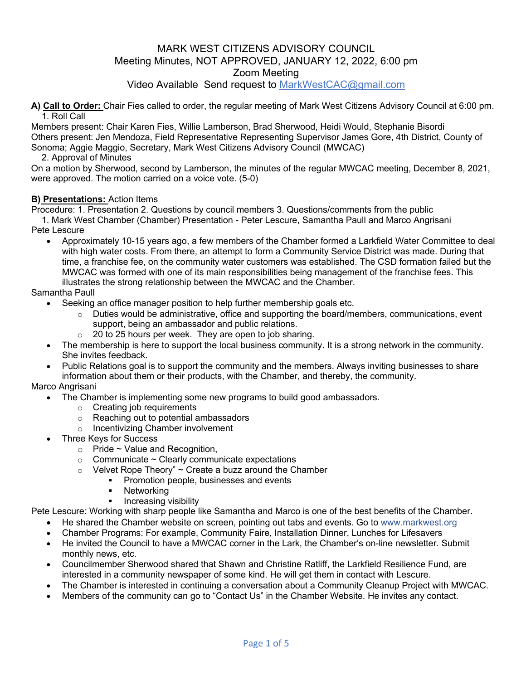Video Available Send request to MarkWestCAC@gmail.com

**A) Call to Order:** Chair Fies called to order, the regular meeting of Mark West Citizens Advisory Council at 6:00 pm. 1. Roll Call

Members present: Chair Karen Fies, Willie Lamberson, Brad Sherwood, Heidi Would, Stephanie Bisordi Others present: Jen Mendoza, Field Representative Representing Supervisor James Gore, 4th District, County of Sonoma; Aggie Maggio, Secretary, Mark West Citizens Advisory Council (MWCAC)

## 2. Approval of Minutes

On a motion by Sherwood, second by Lamberson, the minutes of the regular MWCAC meeting, December 8, 2021, were approved. The motion carried on a voice vote. (5-0)

## **B) Presentations:** Action Items

Procedure: 1. Presentation 2. Questions by council members 3. Questions/comments from the public

1. Mark West Chamber (Chamber) Presentation - Peter Lescure, Samantha Paull and Marco Angrisani Pete Lescure

• Approximately 10-15 years ago, a few members of the Chamber formed a Larkfield Water Committee to deal with high water costs. From there, an attempt to form a Community Service District was made. During that time, a franchise fee, on the community water customers was established. The CSD formation failed but the MWCAC was formed with one of its main responsibilities being management of the franchise fees. This illustrates the strong relationship between the MWCAC and the Chamber.

Samantha Paull

- Seeking an office manager position to help further membership goals etc.
	- $\circ$  Duties would be administrative, office and supporting the board/members, communications, event support, being an ambassador and public relations.
	- $\circ$  20 to 25 hours per week. They are open to job sharing.
- The membership is here to support the local business community. It is a strong network in the community. She invites feedback.
- Public Relations goal is to support the community and the members. Always inviting businesses to share information about them or their products, with the Chamber, and thereby, the community.

## Marco Angrisani

- The Chamber is implementing some new programs to build good ambassadors.
	- o Creating job requirements
	- o Reaching out to potential ambassadors
	- o Incentivizing Chamber involvement
- Three Keys for Success
	- $\circ$  Pride ~ Value and Recognition,
	- $\circ$  Communicate ~ Clearly communicate expectations
	- $\circ$  Velvet Rope Theory"  $\sim$  Create a buzz around the Chamber
		- § Promotion people, businesses and events
		- § Networking
		- § Increasing visibility

Pete Lescure: Working with sharp people like Samantha and Marco is one of the best benefits of the Chamber.

- He shared the Chamber website on screen, pointing out tabs and events. Go to www.markwest.org
- Chamber Programs: For example, Community Faire, Installation Dinner, Lunches for Lifesavers
- He invited the Council to have a MWCAC corner in the Lark, the Chamber's on-line newsletter. Submit monthly news, etc.
- Councilmember Sherwood shared that Shawn and Christine Ratliff, the Larkfield Resilience Fund, are interested in a community newspaper of some kind. He will get them in contact with Lescure.
- The Chamber is interested in continuing a conversation about a Community Cleanup Project with MWCAC.
- Members of the community can go to "Contact Us" in the Chamber Website. He invites any contact.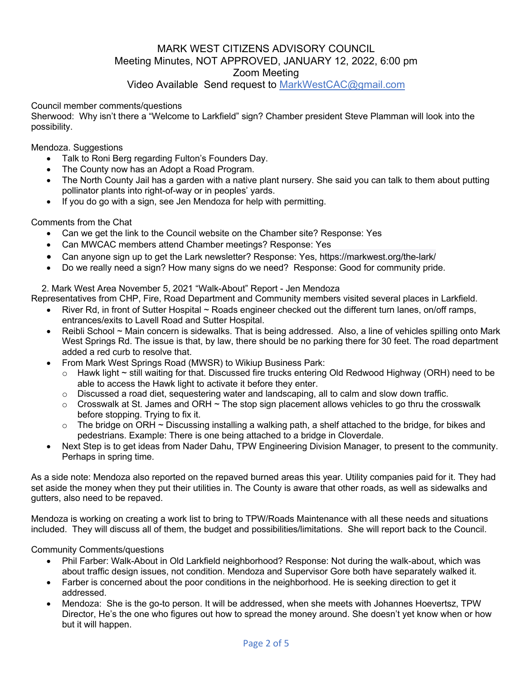# Video Available Send request to MarkWestCAC@gmail.com

Council member comments/questions

Sherwood: Why isn't there a "Welcome to Larkfield" sign? Chamber president Steve Plamman will look into the possibility.

Mendoza. Suggestions

- Talk to Roni Berg regarding Fulton's Founders Day.
- The County now has an Adopt a Road Program.
- The North County Jail has a garden with a native plant nursery. She said you can talk to them about putting pollinator plants into right-of-way or in peoples' yards.
- If you do go with a sign, see Jen Mendoza for help with permitting.

Comments from the Chat

- Can we get the link to the Council website on the Chamber site? Response: Yes
- Can MWCAC members attend Chamber meetings? Response: Yes
- Can anyone sign up to get the Lark newsletter? Response: Yes, https://markwest.org/the-lark/
- Do we really need a sign? How many signs do we need? Response: Good for community pride.

2. Mark West Area November 5, 2021 "Walk-About" Report - Jen Mendoza

Representatives from CHP, Fire, Road Department and Community members visited several places in Larkfield.

- River Rd, in front of Sutter Hospital ~ Roads engineer checked out the different turn lanes, on/off ramps, entrances/exits to Lavell Road and Sutter Hospital.
- Reibli School ~ Main concern is sidewalks. That is being addressed. Also, a line of vehicles spilling onto Mark West Springs Rd. The issue is that, by law, there should be no parking there for 30 feet. The road department added a red curb to resolve that.
- From Mark West Springs Road (MWSR) to Wikiup Business Park:
	- o Hawk light ~ still waiting for that. Discussed fire trucks entering Old Redwood Highway (ORH) need to be able to access the Hawk light to activate it before they enter.
	- $\circ$  Discussed a road diet, sequestering water and landscaping, all to calm and slow down traffic.
	- $\circ$  Crosswalk at St. James and ORH  $\sim$  The stop sign placement allows vehicles to go thru the crosswalk before stopping. Trying to fix it.
	- o The bridge on ORH ~ Discussing installing a walking path, a shelf attached to the bridge, for bikes and pedestrians. Example: There is one being attached to a bridge in Cloverdale.
- Next Step is to get ideas from Nader Dahu, TPW Engineering Division Manager, to present to the community. Perhaps in spring time.

As a side note: Mendoza also reported on the repaved burned areas this year. Utility companies paid for it. They had set aside the money when they put their utilities in. The County is aware that other roads, as well as sidewalks and gutters, also need to be repaved.

Mendoza is working on creating a work list to bring to TPW/Roads Maintenance with all these needs and situations included. They will discuss all of them, the budget and possibilities/limitations. She will report back to the Council.

Community Comments/questions

- Phil Farber: Walk-About in Old Larkfield neighborhood? Response: Not during the walk-about, which was about traffic design issues, not condition. Mendoza and Supervisor Gore both have separately walked it.
- Farber is concerned about the poor conditions in the neighborhood. He is seeking direction to get it addressed.
- Mendoza: She is the go-to person. It will be addressed, when she meets with Johannes Hoevertsz, TPW Director, He's the one who figures out how to spread the money around. She doesn't yet know when or how but it will happen.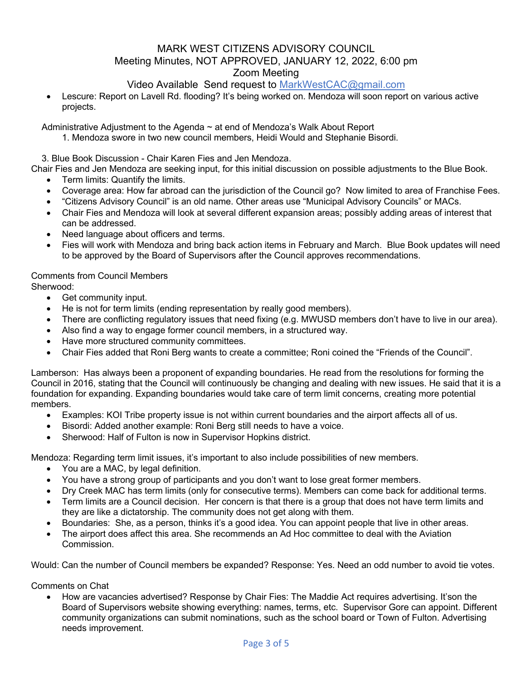# Video Available Send request to MarkWestCAC@gmail.com

• Lescure: Report on Lavell Rd. flooding? It's being worked on. Mendoza will soon report on various active projects.

Administrative Adjustment to the Agenda ~ at end of Mendoza's Walk About Report

1. Mendoza swore in two new council members, Heidi Would and Stephanie Bisordi.

3. Blue Book Discussion - Chair Karen Fies and Jen Mendoza.

Chair Fies and Jen Mendoza are seeking input, for this initial discussion on possible adjustments to the Blue Book.

- Term limits: Quantify the limits.
- Coverage area: How far abroad can the jurisdiction of the Council go? Now limited to area of Franchise Fees.
- "Citizens Advisory Council" is an old name. Other areas use "Municipal Advisory Councils" or MACs.
- Chair Fies and Mendoza will look at several different expansion areas; possibly adding areas of interest that can be addressed.
- Need language about officers and terms.
- Fies will work with Mendoza and bring back action items in February and March. Blue Book updates will need to be approved by the Board of Supervisors after the Council approves recommendations.

# Comments from Council Members

Sherwood:

- Get community input.
- He is not for term limits (ending representation by really good members).
- There are conflicting regulatory issues that need fixing (e.g. MWUSD members don't have to live in our area).
- Also find a way to engage former council members, in a structured way.
- Have more structured community committees.
- Chair Fies added that Roni Berg wants to create a committee; Roni coined the "Friends of the Council".

Lamberson: Has always been a proponent of expanding boundaries. He read from the resolutions for forming the Council in 2016, stating that the Council will continuously be changing and dealing with new issues. He said that it is a foundation for expanding. Expanding boundaries would take care of term limit concerns, creating more potential members.

- Examples: KOI Tribe property issue is not within current boundaries and the airport affects all of us.
- Bisordi: Added another example: Roni Berg still needs to have a voice.
- Sherwood: Half of Fulton is now in Supervisor Hopkins district.

Mendoza: Regarding term limit issues, it's important to also include possibilities of new members.

- You are a MAC, by legal definition.
- You have a strong group of participants and you don't want to lose great former members.
- Dry Creek MAC has term limits (only for consecutive terms). Members can come back for additional terms.
- Term limits are a Council decision. Her concern is that there is a group that does not have term limits and they are like a dictatorship. The community does not get along with them.
- Boundaries: She, as a person, thinks it's a good idea. You can appoint people that live in other areas.
- The airport does affect this area. She recommends an Ad Hoc committee to deal with the Aviation Commission.

Would: Can the number of Council members be expanded? Response: Yes. Need an odd number to avoid tie votes.

Comments on Chat

• How are vacancies advertised? Response by Chair Fies: The Maddie Act requires advertising. It'son the Board of Supervisors website showing everything: names, terms, etc. Supervisor Gore can appoint. Different community organizations can submit nominations, such as the school board or Town of Fulton. Advertising needs improvement.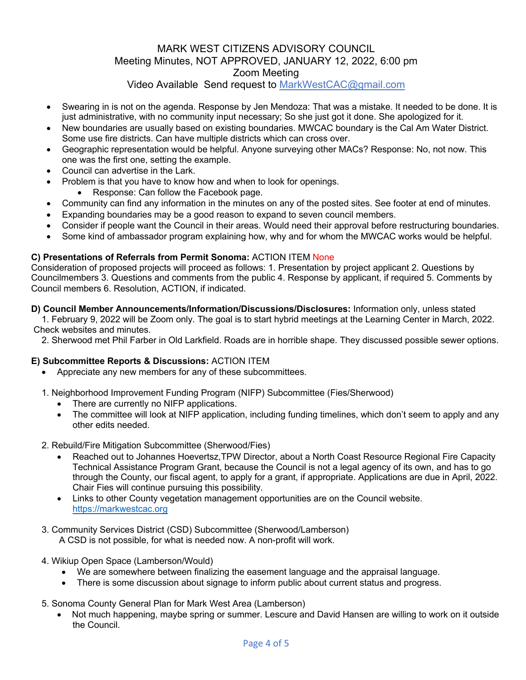## Video Available Send request to MarkWestCAC@gmail.com

- Swearing in is not on the agenda. Response by Jen Mendoza: That was a mistake. It needed to be done. It is just administrative, with no community input necessary; So she just got it done. She apologized for it.
- New boundaries are usually based on existing boundaries. MWCAC boundary is the Cal Am Water District. Some use fire districts. Can have multiple districts which can cross over.
- Geographic representation would be helpful. Anyone surveying other MACs? Response: No, not now. This one was the first one, setting the example.
- Council can advertise in the Lark.
- Problem is that you have to know how and when to look for openings.
	- Response: Can follow the Facebook page.
- Community can find any information in the minutes on any of the posted sites. See footer at end of minutes.
- Expanding boundaries may be a good reason to expand to seven council members.
- Consider if people want the Council in their areas. Would need their approval before restructuring boundaries.
- Some kind of ambassador program explaining how, why and for whom the MWCAC works would be helpful.

## **C) Presentations of Referrals from Permit Sonoma:** ACTION ITEM None

Consideration of proposed projects will proceed as follows: 1. Presentation by project applicant 2. Questions by Councilmembers 3. Questions and comments from the public 4. Response by applicant, if required 5. Comments by Council members 6. Resolution, ACTION, if indicated.

**D) Council Member Announcements/Information/Discussions/Disclosures:** Information only, unless stated

1. February 9, 2022 will be Zoom only. The goal is to start hybrid meetings at the Learning Center in March, 2022. Check websites and minutes.

2. Sherwood met Phil Farber in Old Larkfield. Roads are in horrible shape. They discussed possible sewer options.

## **E) Subcommittee Reports & Discussions:** ACTION ITEM

- Appreciate any new members for any of these subcommittees.
- 1. Neighborhood Improvement Funding Program (NIFP) Subcommittee (Fies/Sherwood)
	- There are currently no NIFP applications.
	- The committee will look at NIFP application, including funding timelines, which don't seem to apply and any other edits needed.

#### 2. Rebuild/Fire Mitigation Subcommittee (Sherwood/Fies)

- Reached out to Johannes Hoevertsz,TPW Director, about a North Coast Resource Regional Fire Capacity Technical Assistance Program Grant, because the Council is not a legal agency of its own, and has to go through the County, our fiscal agent, to apply for a grant, if appropriate. Applications are due in April, 2022. Chair Fies will continue pursuing this possibility.
- Links to other County vegetation management opportunities are on the Council website. https://markwestcac.org
- 3. Community Services District (CSD) Subcommittee (Sherwood/Lamberson) A CSD is not possible, for what is needed now. A non-profit will work.
- 4. Wikiup Open Space (Lamberson/Would)
	- We are somewhere between finalizing the easement language and the appraisal language.
	- There is some discussion about signage to inform public about current status and progress.
- 5. Sonoma County General Plan for Mark West Area (Lamberson)
	- Not much happening, maybe spring or summer. Lescure and David Hansen are willing to work on it outside the Council.